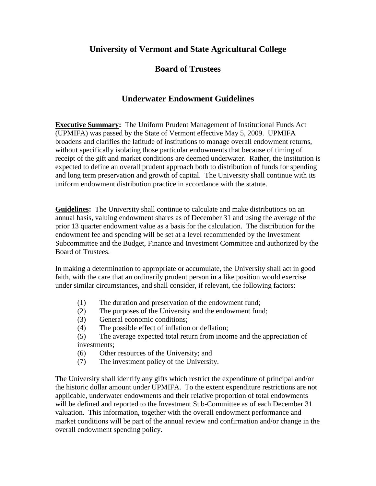## **University of Vermont and State Agricultural College**

## **Board of Trustees**

## **Underwater Endowment Guidelines**

**Executive Summary:** The Uniform Prudent Management of Institutional Funds Act (UPMIFA) was passed by the State of Vermont effective May 5, 2009. UPMIFA broadens and clarifies the latitude of institutions to manage overall endowment returns, without specifically isolating those particular endowments that because of timing of receipt of the gift and market conditions are deemed underwater. Rather, the institution is expected to define an overall prudent approach both to distribution of funds for spending and long term preservation and growth of capital. The University shall continue with its uniform endowment distribution practice in accordance with the statute.

**Guidelines:** The University shall continue to calculate and make distributions on an annual basis, valuing endowment shares as of December 31 and using the average of the prior 13 quarter endowment value as a basis for the calculation. The distribution for the endowment fee and spending will be set at a level recommended by the Investment Subcommittee and the Budget, Finance and Investment Committee and authorized by the Board of Trustees.

In making a determination to appropriate or accumulate, the University shall act in good faith, with the care that an ordinarily prudent person in a like position would exercise under similar circumstances, and shall consider, if relevant, the following factors:

- (1) The duration and preservation of the endowment fund;
- (2) The purposes of the University and the endowment fund;
- (3) General economic conditions;
- (4) The possible effect of inflation or deflation;
- (5) The average expected total return from income and the appreciation of investments;
- (6) Other resources of the University; and
- (7) The investment policy of the University.

The University shall identify any gifts which restrict the expenditure of principal and/or the historic dollar amount under UPMIFA. To the extent expenditure restrictions are not applicable, underwater endowments and their relative proportion of total endowments will be defined and reported to the Investment Sub-Committee as of each December 31 valuation. This information, together with the overall endowment performance and market conditions will be part of the annual review and confirmation and/or change in the overall endowment spending policy.